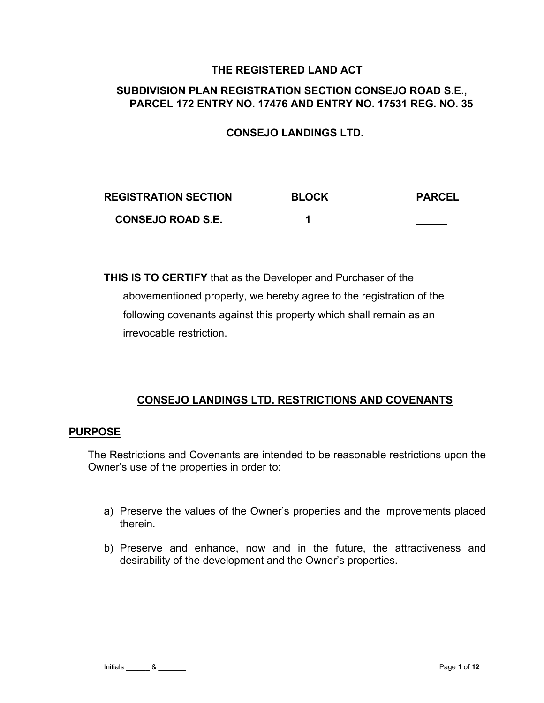### **THE REGISTERED LAND ACT**

## **SUBDIVISION PLAN REGISTRATION SECTION CONSEJO ROAD S.E., PARCEL 172 ENTRY NO. 17476 AND ENTRY NO. 17531 REG. NO. 35**

### **CONSEJO LANDINGS LTD.**

| <b>REGISTRATION SECTION</b> | <b>BLOCK</b> | <b>PARCEL</b> |
|-----------------------------|--------------|---------------|
| <b>CONSEJO ROAD S.E.</b>    |              |               |

**THIS IS TO CERTIFY** that as the Developer and Purchaser of the abovementioned property, we hereby agree to the registration of the following covenants against this property which shall remain as an irrevocable restriction.

### **CONSEJO LANDINGS LTD. RESTRICTIONS AND COVENANTS**

#### **PURPOSE**

The Restrictions and Covenants are intended to be reasonable restrictions upon the Owner's use of the properties in order to:

- a) Preserve the values of the Owner's properties and the improvements placed therein.
- b) Preserve and enhance, now and in the future, the attractiveness and desirability of the development and the Owner's properties.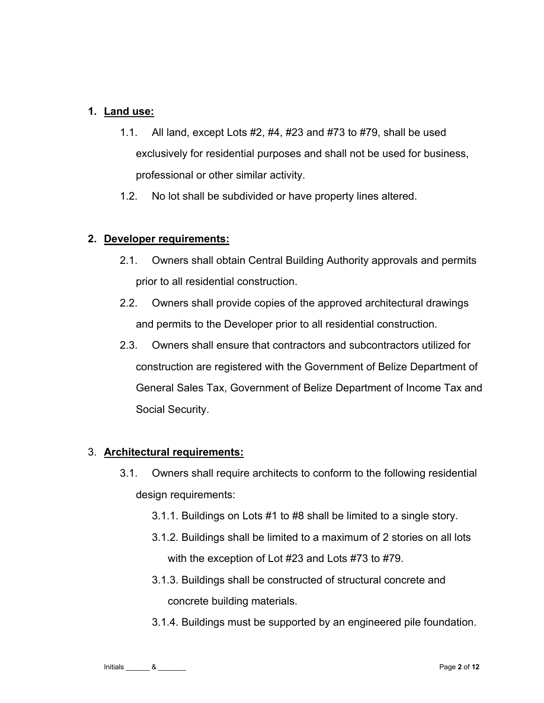## **1. Land use:**

- 1.1. All land, except Lots #2, #4, #23 and #73 to #79, shall be used exclusively for residential purposes and shall not be used for business, professional or other similar activity.
- 1.2. No lot shall be subdivided or have property lines altered.

### **2. Developer requirements:**

- 2.1. Owners shall obtain Central Building Authority approvals and permits prior to all residential construction.
- 2.2. Owners shall provide copies of the approved architectural drawings and permits to the Developer prior to all residential construction.
- 2.3. Owners shall ensure that contractors and subcontractors utilized for construction are registered with the Government of Belize Department of General Sales Tax, Government of Belize Department of Income Tax and Social Security.

### 3. **Architectural requirements:**

- 3.1. Owners shall require architects to conform to the following residential design requirements:
	- 3.1.1. Buildings on Lots #1 to #8 shall be limited to a single story.
	- 3.1.2. Buildings shall be limited to a maximum of 2 stories on all lots with the exception of Lot #23 and Lots #73 to #79.
	- 3.1.3. Buildings shall be constructed of structural concrete and concrete building materials.
	- 3.1.4. Buildings must be supported by an engineered pile foundation.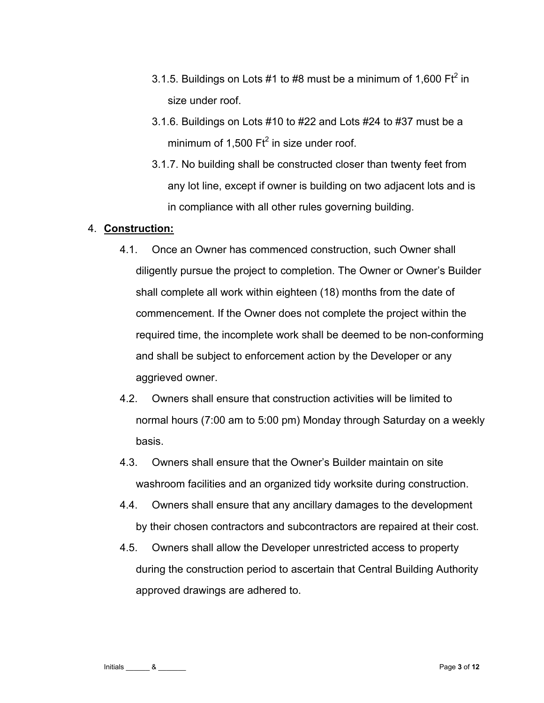- 3.1.5. Buildings on Lots #1 to #8 must be a minimum of 1,600 Ft $^2$  in size under roof.
- 3.1.6. Buildings on Lots #10 to #22 and Lots #24 to #37 must be a minimum of 1,500  $\text{Ft}^2$  in size under roof.
- 3.1.7. No building shall be constructed closer than twenty feet from any lot line, except if owner is building on two adjacent lots and is in compliance with all other rules governing building.

### 4. **Construction:**

- 4.1. Once an Owner has commenced construction, such Owner shall diligently pursue the project to completion. The Owner or Owner's Builder shall complete all work within eighteen (18) months from the date of commencement. If the Owner does not complete the project within the required time, the incomplete work shall be deemed to be non-conforming and shall be subject to enforcement action by the Developer or any aggrieved owner.
- 4.2. Owners shall ensure that construction activities will be limited to normal hours (7:00 am to 5:00 pm) Monday through Saturday on a weekly basis.
- 4.3. Owners shall ensure that the Owner's Builder maintain on site washroom facilities and an organized tidy worksite during construction.
- 4.4. Owners shall ensure that any ancillary damages to the development by their chosen contractors and subcontractors are repaired at their cost.
- 4.5. Owners shall allow the Developer unrestricted access to property during the construction period to ascertain that Central Building Authority approved drawings are adhered to.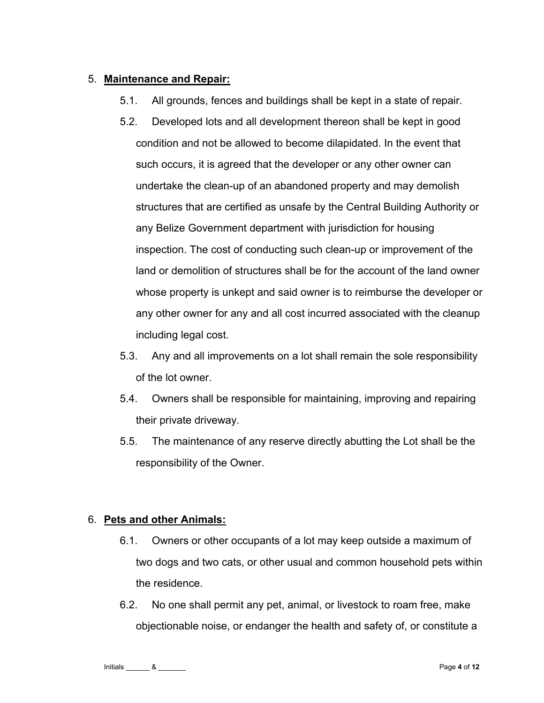# 5. **Maintenance and Repair:**

- 5.1. All grounds, fences and buildings shall be kept in a state of repair.
- 5.2. Developed lots and all development thereon shall be kept in good condition and not be allowed to become dilapidated. In the event that such occurs, it is agreed that the developer or any other owner can undertake the clean-up of an abandoned property and may demolish structures that are certified as unsafe by the Central Building Authority or any Belize Government department with jurisdiction for housing inspection. The cost of conducting such clean-up or improvement of the land or demolition of structures shall be for the account of the land owner whose property is unkept and said owner is to reimburse the developer or any other owner for any and all cost incurred associated with the cleanup including legal cost.
- 5.3. Any and all improvements on a lot shall remain the sole responsibility of the lot owner.
- 5.4. Owners shall be responsible for maintaining, improving and repairing their private driveway.
- 5.5. The maintenance of any reserve directly abutting the Lot shall be the responsibility of the Owner.

# 6. **Pets and other Animals:**

- 6.1. Owners or other occupants of a lot may keep outside a maximum of two dogs and two cats, or other usual and common household pets within the residence.
- 6.2. No one shall permit any pet, animal, or livestock to roam free, make objectionable noise, or endanger the health and safety of, or constitute a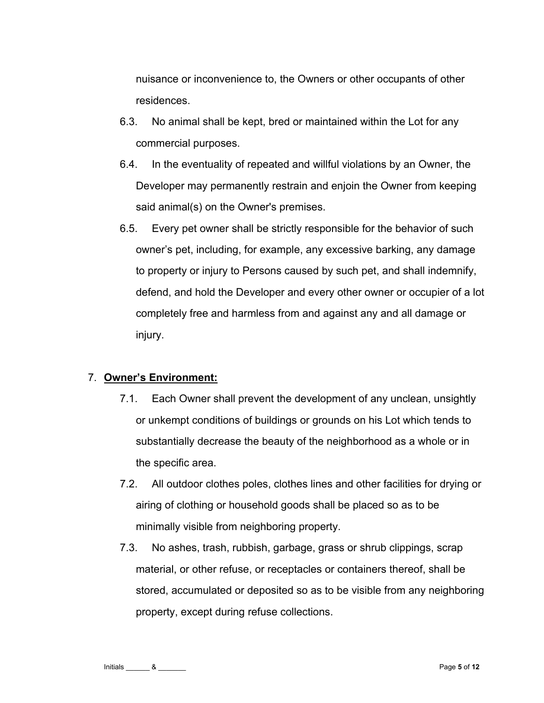nuisance or inconvenience to, the Owners or other occupants of other residences.

- 6.3. No animal shall be kept, bred or maintained within the Lot for any commercial purposes.
- 6.4. In the eventuality of repeated and willful violations by an Owner, the Developer may permanently restrain and enjoin the Owner from keeping said animal(s) on the Owner's premises.
- 6.5. Every pet owner shall be strictly responsible for the behavior of such owner's pet, including, for example, any excessive barking, any damage to property or injury to Persons caused by such pet, and shall indemnify, defend, and hold the Developer and every other owner or occupier of a lot completely free and harmless from and against any and all damage or injury.

### 7. **Owner's Environment:**

- 7.1. Each Owner shall prevent the development of any unclean, unsightly or unkempt conditions of buildings or grounds on his Lot which tends to substantially decrease the beauty of the neighborhood as a whole or in the specific area.
- 7.2. All outdoor clothes poles, clothes lines and other facilities for drying or airing of clothing or household goods shall be placed so as to be minimally visible from neighboring property.
- 7.3. No ashes, trash, rubbish, garbage, grass or shrub clippings, scrap material, or other refuse, or receptacles or containers thereof, shall be stored, accumulated or deposited so as to be visible from any neighboring property, except during refuse collections.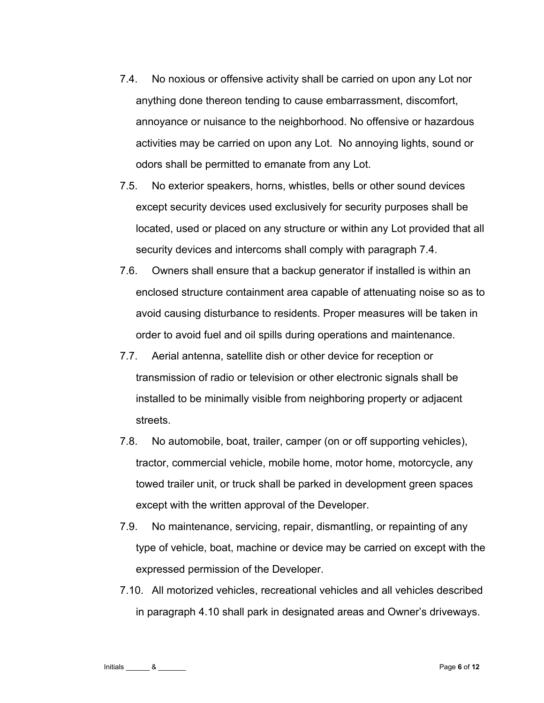- 7.4. No noxious or offensive activity shall be carried on upon any Lot nor anything done thereon tending to cause embarrassment, discomfort, annoyance or nuisance to the neighborhood. No offensive or hazardous activities may be carried on upon any Lot. No annoying lights, sound or odors shall be permitted to emanate from any Lot.
- 7.5. No exterior speakers, horns, whistles, bells or other sound devices except security devices used exclusively for security purposes shall be located, used or placed on any structure or within any Lot provided that all security devices and intercoms shall comply with paragraph 7.4.
- 7.6. Owners shall ensure that a backup generator if installed is within an enclosed structure containment area capable of attenuating noise so as to avoid causing disturbance to residents. Proper measures will be taken in order to avoid fuel and oil spills during operations and maintenance.
- 7.7. Aerial antenna, satellite dish or other device for reception or transmission of radio or television or other electronic signals shall be installed to be minimally visible from neighboring property or adjacent streets.
- 7.8. No automobile, boat, trailer, camper (on or off supporting vehicles), tractor, commercial vehicle, mobile home, motor home, motorcycle, any towed trailer unit, or truck shall be parked in development green spaces except with the written approval of the Developer.
- 7.9. No maintenance, servicing, repair, dismantling, or repainting of any type of vehicle, boat, machine or device may be carried on except with the expressed permission of the Developer.
- 7.10. All motorized vehicles, recreational vehicles and all vehicles described in paragraph 4.10 shall park in designated areas and Owner's driveways.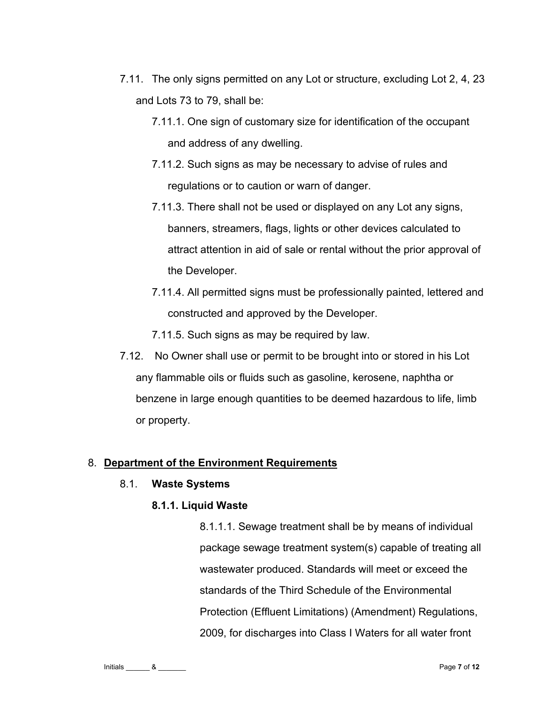- 7.11. The only signs permitted on any Lot or structure, excluding Lot 2, 4, 23 and Lots 73 to 79, shall be:
	- 7.11.1. One sign of customary size for identification of the occupant and address of any dwelling.
	- 7.11.2. Such signs as may be necessary to advise of rules and regulations or to caution or warn of danger.
	- 7.11.3. There shall not be used or displayed on any Lot any signs, banners, streamers, flags, lights or other devices calculated to attract attention in aid of sale or rental without the prior approval of the Developer.
	- 7.11.4. All permitted signs must be professionally painted, lettered and constructed and approved by the Developer.
	- 7.11.5. Such signs as may be required by law.
- 7.12. No Owner shall use or permit to be brought into or stored in his Lot any flammable oils or fluids such as gasoline, kerosene, naphtha or benzene in large enough quantities to be deemed hazardous to life, limb or property.

### 8. **Department of the Environment Requirements**

### 8.1. **Waste Systems**

# **8.1.1. Liquid Waste**

8.1.1.1. Sewage treatment shall be by means of individual package sewage treatment system(s) capable of treating all wastewater produced. Standards will meet or exceed the standards of the Third Schedule of the Environmental Protection (Effluent Limitations) (Amendment) Regulations, 2009, for discharges into Class I Waters for all water front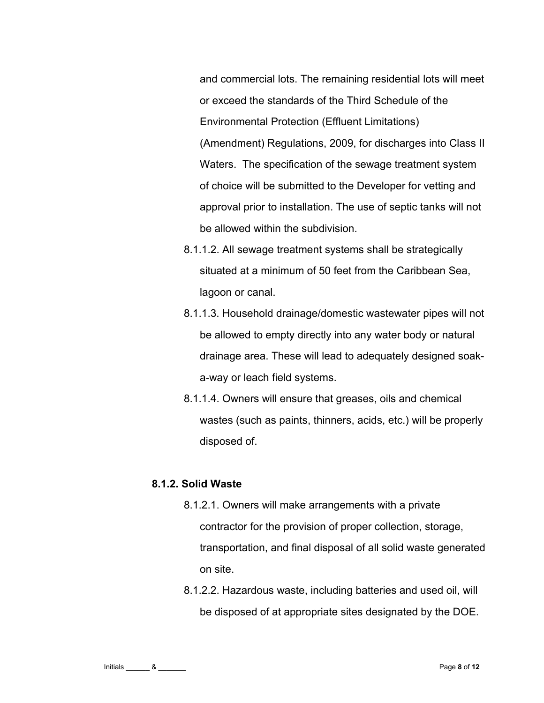and commercial lots. The remaining residential lots will meet or exceed the standards of the Third Schedule of the Environmental Protection (Effluent Limitations) (Amendment) Regulations, 2009, for discharges into Class II Waters. The specification of the sewage treatment system of choice will be submitted to the Developer for vetting and approval prior to installation. The use of septic tanks will not be allowed within the subdivision.

- 8.1.1.2. All sewage treatment systems shall be strategically situated at a minimum of 50 feet from the Caribbean Sea, lagoon or canal.
- 8.1.1.3. Household drainage/domestic wastewater pipes will not be allowed to empty directly into any water body or natural drainage area. These will lead to adequately designed soaka-way or leach field systems.
- 8.1.1.4. Owners will ensure that greases, oils and chemical wastes (such as paints, thinners, acids, etc.) will be properly disposed of.

#### **8.1.2. Solid Waste**

- 8.1.2.1. Owners will make arrangements with a private contractor for the provision of proper collection, storage, transportation, and final disposal of all solid waste generated on site.
- 8.1.2.2. Hazardous waste, including batteries and used oil, will be disposed of at appropriate sites designated by the DOE.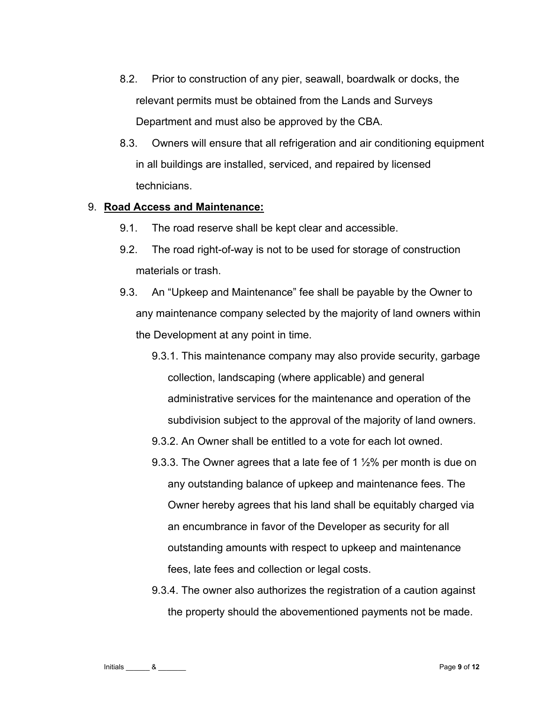- 8.2. Prior to construction of any pier, seawall, boardwalk or docks, the relevant permits must be obtained from the Lands and Surveys Department and must also be approved by the CBA.
- 8.3. Owners will ensure that all refrigeration and air conditioning equipment in all buildings are installed, serviced, and repaired by licensed technicians.

#### 9. **Road Access and Maintenance:**

- 9.1. The road reserve shall be kept clear and accessible.
- 9.2. The road right-of-way is not to be used for storage of construction materials or trash.
- 9.3. An "Upkeep and Maintenance" fee shall be payable by the Owner to any maintenance company selected by the majority of land owners within the Development at any point in time.
	- 9.3.1. This maintenance company may also provide security, garbage collection, landscaping (where applicable) and general administrative services for the maintenance and operation of the subdivision subject to the approval of the majority of land owners.
	- 9.3.2. An Owner shall be entitled to a vote for each lot owned.
	- 9.3.3. The Owner agrees that a late fee of 1  $\frac{1}{2}$ % per month is due on any outstanding balance of upkeep and maintenance fees. The Owner hereby agrees that his land shall be equitably charged via an encumbrance in favor of the Developer as security for all outstanding amounts with respect to upkeep and maintenance fees, late fees and collection or legal costs.
	- 9.3.4. The owner also authorizes the registration of a caution against the property should the abovementioned payments not be made.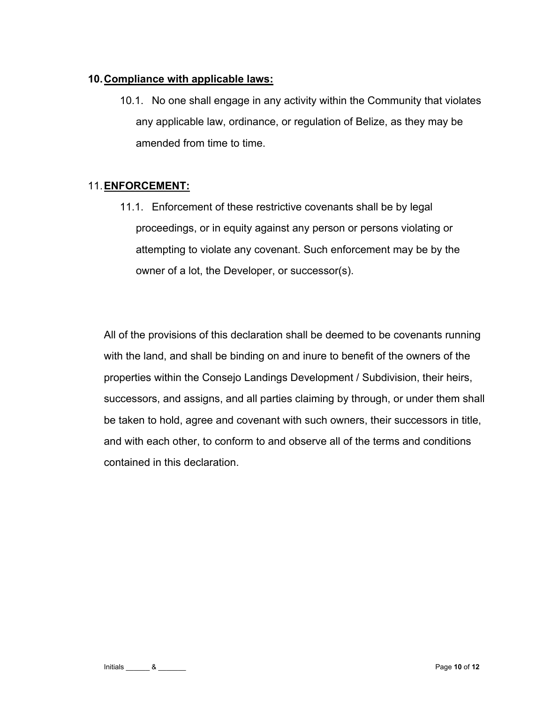### **10. Compliance with applicable laws:**

10.1. No one shall engage in any activity within the Community that violates any applicable law, ordinance, or regulation of Belize, as they may be amended from time to time.

# 11. **ENFORCEMENT:**

11.1. Enforcement of these restrictive covenants shall be by legal proceedings, or in equity against any person or persons violating or attempting to violate any covenant. Such enforcement may be by the owner of a lot, the Developer, or successor(s).

All of the provisions of this declaration shall be deemed to be covenants running with the land, and shall be binding on and inure to benefit of the owners of the properties within the Consejo Landings Development / Subdivision, their heirs, successors, and assigns, and all parties claiming by through, or under them shall be taken to hold, agree and covenant with such owners, their successors in title, and with each other, to conform to and observe all of the terms and conditions contained in this declaration.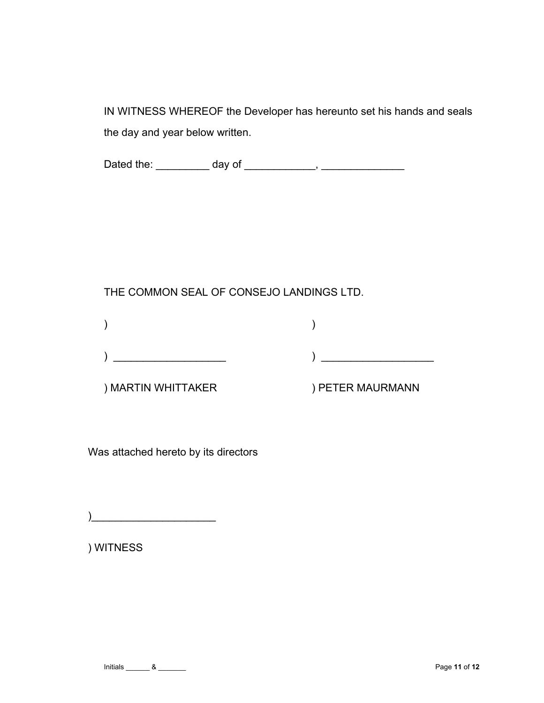IN WITNESS WHEREOF the Developer has hereunto set his hands and seals the day and year below written.

Dated the: \_\_\_\_\_\_\_\_\_ day of \_\_\_\_\_\_\_\_\_\_\_\_, \_\_\_\_\_\_\_\_\_\_\_\_\_\_

# THE COMMON SEAL OF CONSEJO LANDINGS LTD.

) MARTIN WHITTAKER ) PETER MAURMANN

Was attached hereto by its directors

) and the set of the set of the set of the set of the set of the set of the set of the set of the set of the set of the set of the set of the set of the set of the set of the set of the set of the set of the set of the se

) WITNESS